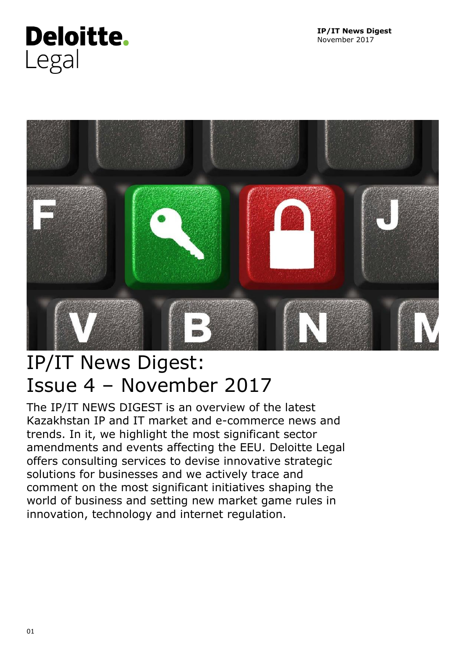# <span id="page-0-0"></span>**Deloitte.** Legal



# IP/IT News Digest: Issue 4 – November 2017

The IP/IT NEWS DIGEST is an overview of the latest Kazakhstan IP and IT market and e-commerce news and trends. In it, we highlight the most significant sector amendments and events affecting the EEU. Deloitte Legal offers consulting services to devise innovative strategic solutions for businesses and we actively trace and comment on the most significant initiatives shaping the world of business and setting new market game rules in innovation, technology and internet regulation.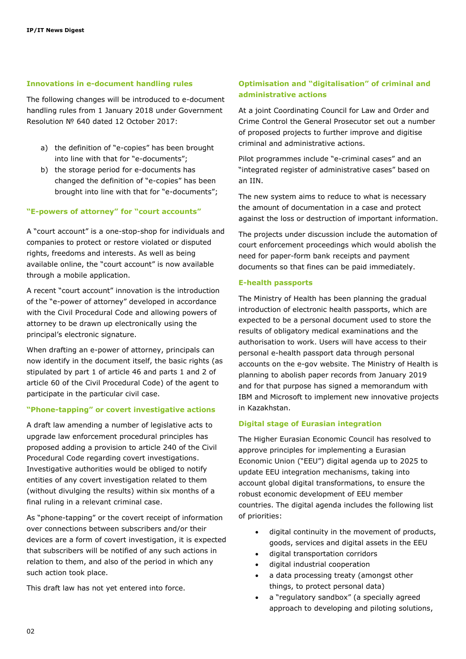# **Innovations in e-document handling rules**

The following changes will be introduced to e-document handling rules from 1 January 2018 under Government Resolution № 640 dated 12 October 2017:

- a) the definition of "e-copies" has been brought into line with that for "e-documents";
- b) the storage period for e-documents has changed the definition of "e-copies" has been brought into line with that for "e-documents";

#### **"E-powers of attorney" for "court accounts"**

A "court account" is a one-stop-shop for individuals and companies to protect or restore violated or disputed rights, freedoms and interests. As well as being available online, the "court account" is now available through a mobile application.

A recent "court account" innovation is the introduction of the "e-power of attorney" developed in accordance with the Civil Procedural Code and allowing powers of attorney to be drawn up electronically using the principal's electronic signature.

When drafting an e-power of attorney, principals can now identify in the document itself, the basic rights (as stipulated by part 1 of article 46 and parts 1 and 2 of article 60 of the Civil Procedural Code) of the agent to participate in the particular civil case.

#### **"Phone-tapping" or covert investigative actions**

A draft law amending a number of legislative acts to upgrade law enforcement procedural principles has proposed adding a provision to article 240 of the Civil Procedural Code regarding covert investigations. Investigative authorities would be obliged to notify entities of any covert investigation related to them (without divulging the results) within six months of a final ruling in a relevant criminal case.

As "phone-tapping" or the covert receipt of information over connections between subscribers and/or their devices are a form of covert investigation, it is expected that subscribers will be notified of any such actions in relation to them, and also of the period in which any such action took place.

This draft law has not yet entered into force.

# **Optimisation and "digitalisation" of criminal and administrative actions**

At a joint Coordinating Council for Law and Order and Crime Control the General Prosecutor set out a number of proposed projects to further improve and digitise criminal and administrative actions.

Pilot programmes include "e-criminal cases" and an "integrated register of administrative cases" based on an IIN.

The new system aims to reduce to what is necessary the amount of documentation in a case and protect against the loss or destruction of important information.

The projects under discussion include the automation of court enforcement proceedings which would abolish the need for paper-form bank receipts and payment documents so that fines can be paid immediately.

#### **E-health passports**

The Ministry of Health has been planning the gradual introduction of electronic health passports, which are expected to be a personal document used to store the results of obligatory medical examinations and the authorisation to work. Users will have access to their personal e-health passport data through personal accounts on the e-gov website. The Ministry of Health is planning to abolish paper records from January 2019 and for that purpose has signed a memorandum with IBM and Microsoft to implement new innovative projects in Kazakhstan.

#### **Digital stage of Eurasian integration**

The Higher Eurasian Economic Council has resolved to approve principles for implementing a Eurasian Economic Union ("EEU") digital agenda up to 2025 to update EEU integration mechanisms, taking into account global digital transformations, to ensure the robust economic development of EEU member countries. The digital agenda includes the following list of priorities:

- digital continuity in the movement of products, goods, services and digital assets in the EEU
- digital transportation corridors
- digital industrial cooperation
- a data processing treaty (amongst other things, to protect personal data)
- a "regulatory sandbox" (a specially agreed approach to developing and piloting solutions,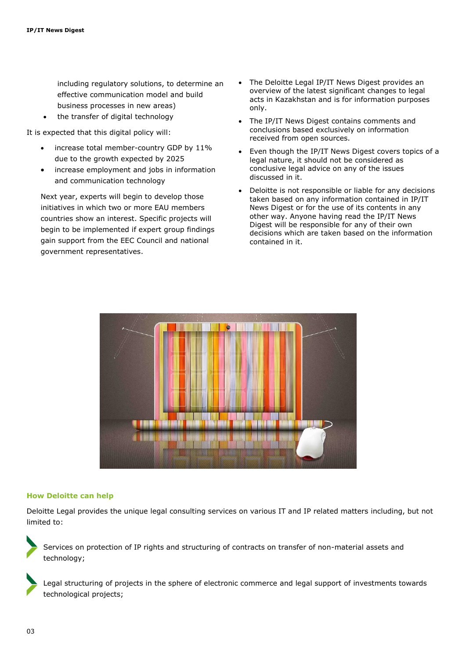including regulatory solutions, to determine an effective communication model and build business processes in new areas)

the transfer of digital technology

It is expected that this digital policy will:

- increase total member-country GDP by 11% due to the growth expected by 2025
- increase employment and jobs in information and communication technology

Next year, experts will begin to develop those initiatives in which two or more EAU members countries show an interest. Specific projects will begin to be implemented if expert group findings gain support from the EEC Council and national government representatives.

- The Deloitte Legal IP/IT News Digest provides an overview of the latest significant changes to legal acts in Kazakhstan and is for information purposes only.
- The IP/IT News Digest contains comments and conclusions based exclusively on information received from open sources.
- Even though the IP/IT News Digest covers topics of a legal nature, it should not be considered as conclusive legal advice on any of the issues discussed in it.
- Deloitte is not responsible or liable for any decisions taken based on any information contained in IP/IT News Digest or for the use of its contents in any other way. Anyone having read the IP/IT News Digest will be responsible for any of their own decisions which are taken based on the information contained in it.



# **How Deloitte can help**

Deloitte Legal provides the unique legal consulting services on various IT and IP related matters including, but not limited to:

Services on protection of IP rights and structuring of contracts on transfer of non-material assets and technology;

Legal structuring of projects in the sphere of electronic commerce and legal support of investments towards technological projects;